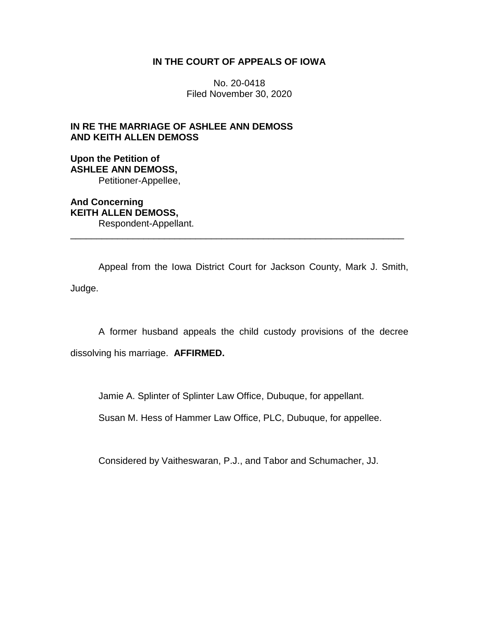# **IN THE COURT OF APPEALS OF IOWA**

No. 20-0418 Filed November 30, 2020

# **IN RE THE MARRIAGE OF ASHLEE ANN DEMOSS AND KEITH ALLEN DEMOSS**

# **Upon the Petition of ASHLEE ANN DEMOSS,** Petitioner-Appellee,

**And Concerning KEITH ALLEN DEMOSS,** Respondent-Appellant.

Appeal from the Iowa District Court for Jackson County, Mark J. Smith, Judge.

\_\_\_\_\_\_\_\_\_\_\_\_\_\_\_\_\_\_\_\_\_\_\_\_\_\_\_\_\_\_\_\_\_\_\_\_\_\_\_\_\_\_\_\_\_\_\_\_\_\_\_\_\_\_\_\_\_\_\_\_\_\_\_\_

A former husband appeals the child custody provisions of the decree dissolving his marriage. **AFFIRMED.**

Jamie A. Splinter of Splinter Law Office, Dubuque, for appellant.

Susan M. Hess of Hammer Law Office, PLC, Dubuque, for appellee.

Considered by Vaitheswaran, P.J., and Tabor and Schumacher, JJ.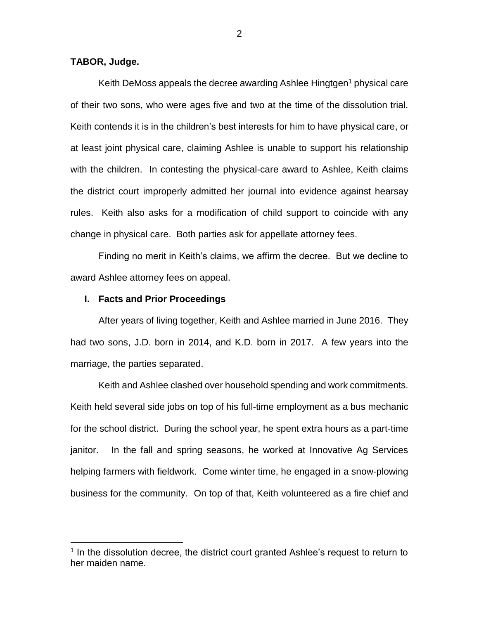# **TABOR, Judge.**

 $\overline{a}$ 

Keith DeMoss appeals the decree awarding Ashlee Hingtgen<sup>1</sup> physical care of their two sons, who were ages five and two at the time of the dissolution trial. Keith contends it is in the children's best interests for him to have physical care, or at least joint physical care, claiming Ashlee is unable to support his relationship with the children. In contesting the physical-care award to Ashlee, Keith claims the district court improperly admitted her journal into evidence against hearsay rules. Keith also asks for a modification of child support to coincide with any change in physical care. Both parties ask for appellate attorney fees.

Finding no merit in Keith's claims, we affirm the decree. But we decline to award Ashlee attorney fees on appeal.

## **I. Facts and Prior Proceedings**

After years of living together, Keith and Ashlee married in June 2016. They had two sons, J.D. born in 2014, and K.D. born in 2017. A few years into the marriage, the parties separated.

Keith and Ashlee clashed over household spending and work commitments. Keith held several side jobs on top of his full-time employment as a bus mechanic for the school district. During the school year, he spent extra hours as a part-time janitor. In the fall and spring seasons, he worked at Innovative Ag Services helping farmers with fieldwork. Come winter time, he engaged in a snow-plowing business for the community. On top of that, Keith volunteered as a fire chief and

<sup>&</sup>lt;sup>1</sup> In the dissolution decree, the district court granted Ashlee's request to return to her maiden name.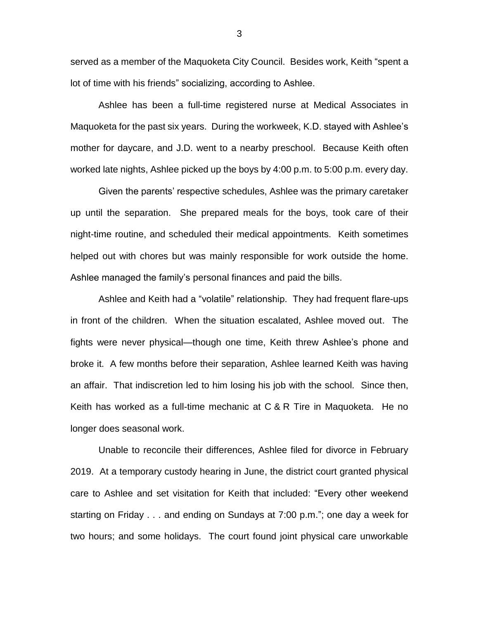served as a member of the Maquoketa City Council. Besides work, Keith "spent a lot of time with his friends" socializing, according to Ashlee.

Ashlee has been a full-time registered nurse at Medical Associates in Maquoketa for the past six years. During the workweek, K.D. stayed with Ashlee's mother for daycare, and J.D. went to a nearby preschool. Because Keith often worked late nights, Ashlee picked up the boys by 4:00 p.m. to 5:00 p.m. every day.

Given the parents' respective schedules, Ashlee was the primary caretaker up until the separation. She prepared meals for the boys, took care of their night-time routine, and scheduled their medical appointments. Keith sometimes helped out with chores but was mainly responsible for work outside the home. Ashlee managed the family's personal finances and paid the bills.

Ashlee and Keith had a "volatile" relationship. They had frequent flare-ups in front of the children. When the situation escalated, Ashlee moved out. The fights were never physical—though one time, Keith threw Ashlee's phone and broke it. A few months before their separation, Ashlee learned Keith was having an affair. That indiscretion led to him losing his job with the school. Since then, Keith has worked as a full-time mechanic at C & R Tire in Maquoketa. He no longer does seasonal work.

Unable to reconcile their differences, Ashlee filed for divorce in February 2019. At a temporary custody hearing in June, the district court granted physical care to Ashlee and set visitation for Keith that included: "Every other weekend starting on Friday . . . and ending on Sundays at 7:00 p.m."; one day a week for two hours; and some holidays. The court found joint physical care unworkable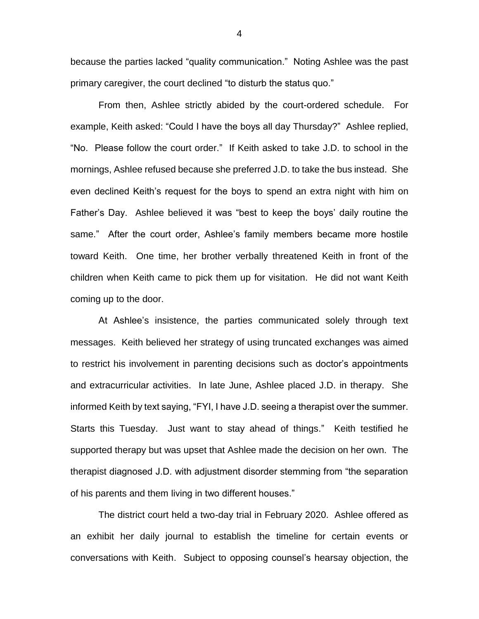because the parties lacked "quality communication." Noting Ashlee was the past primary caregiver, the court declined "to disturb the status quo."

From then, Ashlee strictly abided by the court-ordered schedule. For example, Keith asked: "Could I have the boys all day Thursday?" Ashlee replied, "No. Please follow the court order." If Keith asked to take J.D. to school in the mornings, Ashlee refused because she preferred J.D. to take the bus instead. She even declined Keith's request for the boys to spend an extra night with him on Father's Day. Ashlee believed it was "best to keep the boys' daily routine the same." After the court order, Ashlee's family members became more hostile toward Keith. One time, her brother verbally threatened Keith in front of the children when Keith came to pick them up for visitation. He did not want Keith coming up to the door.

At Ashlee's insistence, the parties communicated solely through text messages. Keith believed her strategy of using truncated exchanges was aimed to restrict his involvement in parenting decisions such as doctor's appointments and extracurricular activities. In late June, Ashlee placed J.D. in therapy. She informed Keith by text saying, "FYI, I have J.D. seeing a therapist over the summer. Starts this Tuesday. Just want to stay ahead of things." Keith testified he supported therapy but was upset that Ashlee made the decision on her own. The therapist diagnosed J.D. with adjustment disorder stemming from "the separation of his parents and them living in two different houses."

The district court held a two-day trial in February 2020. Ashlee offered as an exhibit her daily journal to establish the timeline for certain events or conversations with Keith. Subject to opposing counsel's hearsay objection, the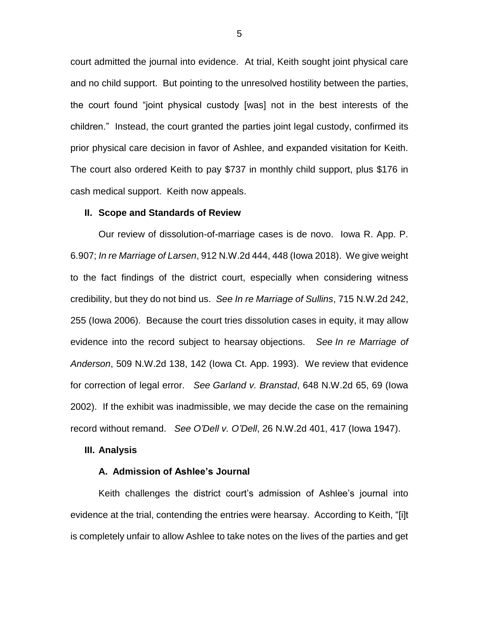court admitted the journal into evidence. At trial, Keith sought joint physical care and no child support. But pointing to the unresolved hostility between the parties, the court found "joint physical custody [was] not in the best interests of the children." Instead, the court granted the parties joint legal custody, confirmed its prior physical care decision in favor of Ashlee, and expanded visitation for Keith. The court also ordered Keith to pay \$737 in monthly child support, plus \$176 in cash medical support. Keith now appeals.

### **II. Scope and Standards of Review**

Our review of dissolution-of-marriage cases is de novo. Iowa R. App. P. 6.907; *In re Marriage of Larsen*, 912 N.W.2d 444, 448 (Iowa 2018). We give weight to the fact findings of the district court, especially when considering witness credibility, but they do not bind us. *See In re Marriage of Sullins*, 715 N.W.2d 242, 255 (Iowa 2006). Because the court tries dissolution cases in equity, it may allow evidence into the record subject to hearsay objections. *See In re Marriage of Anderson*, 509 N.W.2d 138, 142 (Iowa Ct. App. 1993). We review that evidence for correction of legal error. *See Garland v. Branstad*, 648 N.W.2d 65, 69 (Iowa 2002). If the exhibit was inadmissible, we may decide the case on the remaining record without remand. *See O'Dell v. O'Dell*, 26 N.W.2d 401, 417 (Iowa 1947).

### **III. Analysis**

### **A. Admission of Ashlee's Journal**

Keith challenges the district court's admission of Ashlee's journal into evidence at the trial, contending the entries were hearsay. According to Keith, "[i]t is completely unfair to allow Ashlee to take notes on the lives of the parties and get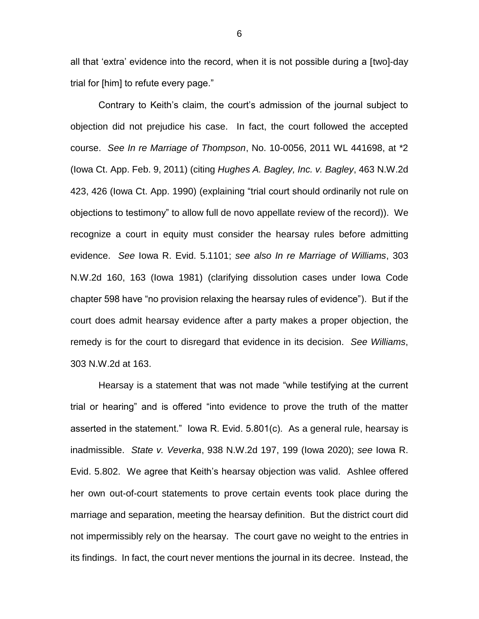all that 'extra' evidence into the record, when it is not possible during a [two]-day trial for [him] to refute every page."

Contrary to Keith's claim, the court's admission of the journal subject to objection did not prejudice his case. In fact, the court followed the accepted course. *See In re Marriage of Thompson*, No. 10-0056, 2011 WL 441698, at \*2 (Iowa Ct. App. Feb. 9, 2011) (citing *Hughes A. Bagley, Inc. v. Bagley*, 463 N.W.2d 423, 426 (Iowa Ct. App. 1990) (explaining "trial court should ordinarily not rule on objections to testimony" to allow full de novo appellate review of the record)). We recognize a court in equity must consider the hearsay rules before admitting evidence. *See* Iowa R. Evid. 5.1101; *see also In re Marriage of Williams*, 303 N.W.2d 160, 163 (Iowa 1981) (clarifying dissolution cases under Iowa Code chapter 598 have "no provision relaxing the hearsay rules of evidence"). But if the court does admit hearsay evidence after a party makes a proper objection, the remedy is for the court to disregard that evidence in its decision. *See Williams*, 303 N.W.2d at 163.

Hearsay is a statement that was not made "while testifying at the current trial or hearing" and is offered "into evidence to prove the truth of the matter asserted in the statement." Iowa R. Evid. 5.801(c). As a general rule, hearsay is inadmissible. *State v. Veverka*, 938 N.W.2d 197, 199 (Iowa 2020); *see* Iowa R. Evid. 5.802. We agree that Keith's hearsay objection was valid. Ashlee offered her own out-of-court statements to prove certain events took place during the marriage and separation, meeting the hearsay definition. But the district court did not impermissibly rely on the hearsay. The court gave no weight to the entries in its findings. In fact, the court never mentions the journal in its decree. Instead, the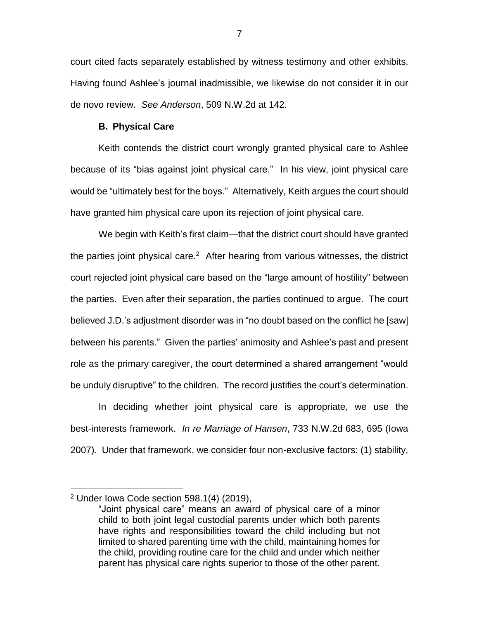court cited facts separately established by witness testimony and other exhibits. Having found Ashlee's journal inadmissible, we likewise do not consider it in our de novo review. *See Anderson*, 509 N.W.2d at 142.

## **B. Physical Care**

Keith contends the district court wrongly granted physical care to Ashlee because of its "bias against joint physical care." In his view, joint physical care would be "ultimately best for the boys." Alternatively, Keith argues the court should have granted him physical care upon its rejection of joint physical care.

We begin with Keith's first claim—that the district court should have granted the parties joint physical care.<sup>2</sup> After hearing from various witnesses, the district court rejected joint physical care based on the "large amount of hostility" between the parties. Even after their separation, the parties continued to argue. The court believed J.D.'s adjustment disorder was in "no doubt based on the conflict he [saw] between his parents." Given the parties' animosity and Ashlee's past and present role as the primary caregiver, the court determined a shared arrangement "would be unduly disruptive" to the children. The record justifies the court's determination.

In deciding whether joint physical care is appropriate, we use the best-interests framework. *In re Marriage of Hansen*, 733 N.W.2d 683, 695 (Iowa 2007). Under that framework, we consider four non-exclusive factors: (1) stability,

 $\overline{a}$ 

 $2$  Under Iowa Code section 598.1(4) (2019),

<sup>&</sup>quot;Joint physical care" means an award of physical care of a minor child to both joint legal custodial parents under which both parents have rights and responsibilities toward the child including but not limited to shared parenting time with the child, maintaining homes for the child, providing routine care for the child and under which neither parent has physical care rights superior to those of the other parent.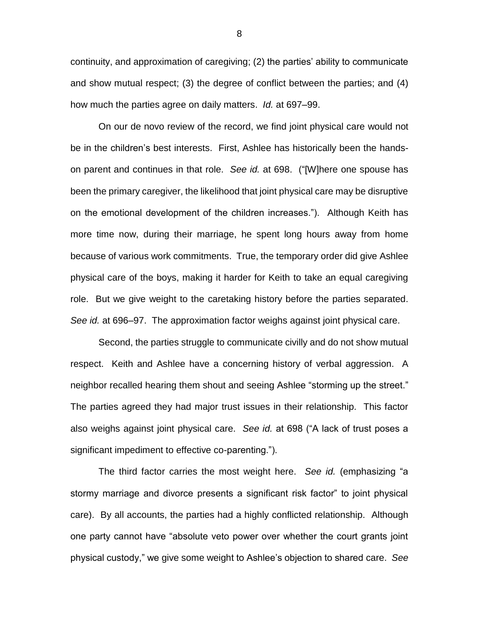continuity, and approximation of caregiving; (2) the parties' ability to communicate and show mutual respect; (3) the degree of conflict between the parties; and (4) how much the parties agree on daily matters. *Id.* at 697–99.

On our de novo review of the record, we find joint physical care would not be in the children's best interests. First, Ashlee has historically been the handson parent and continues in that role. *See id.* at 698. ("[W]here one spouse has been the primary caregiver, the likelihood that joint physical care may be disruptive on the emotional development of the children increases."). Although Keith has more time now, during their marriage, he spent long hours away from home because of various work commitments. True, the temporary order did give Ashlee physical care of the boys, making it harder for Keith to take an equal caregiving role. But we give weight to the caretaking history before the parties separated. *See id.* at 696–97. The approximation factor weighs against joint physical care.

Second, the parties struggle to communicate civilly and do not show mutual respect. Keith and Ashlee have a concerning history of verbal aggression. A neighbor recalled hearing them shout and seeing Ashlee "storming up the street." The parties agreed they had major trust issues in their relationship. This factor also weighs against joint physical care. *See id.* at 698 ("A lack of trust poses a significant impediment to effective co-parenting.").

The third factor carries the most weight here. *See id.* (emphasizing "a stormy marriage and divorce presents a significant risk factor" to joint physical care). By all accounts, the parties had a highly conflicted relationship. Although one party cannot have "absolute veto power over whether the court grants joint physical custody," we give some weight to Ashlee's objection to shared care. *See*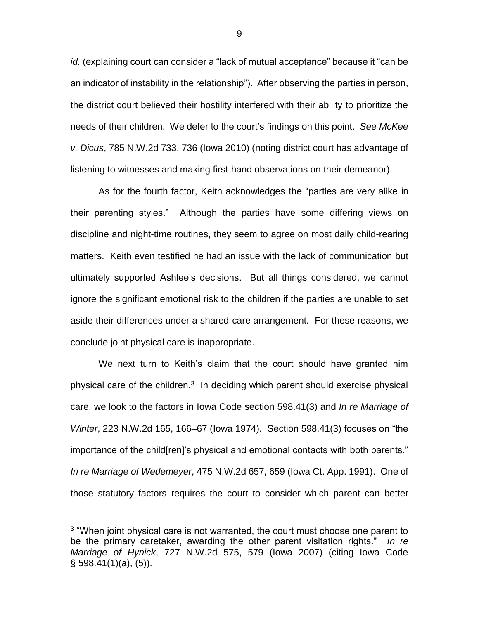*id.* (explaining court can consider a "lack of mutual acceptance" because it "can be an indicator of instability in the relationship"). After observing the parties in person, the district court believed their hostility interfered with their ability to prioritize the needs of their children. We defer to the court's findings on this point. *See McKee v. Dicus*, 785 N.W.2d 733, 736 (Iowa 2010) (noting district court has advantage of listening to witnesses and making first-hand observations on their demeanor).

As for the fourth factor, Keith acknowledges the "parties are very alike in their parenting styles." Although the parties have some differing views on discipline and night-time routines, they seem to agree on most daily child-rearing matters. Keith even testified he had an issue with the lack of communication but ultimately supported Ashlee's decisions. But all things considered, we cannot ignore the significant emotional risk to the children if the parties are unable to set aside their differences under a shared-care arrangement. For these reasons, we conclude joint physical care is inappropriate.

We next turn to Keith's claim that the court should have granted him physical care of the children. $3$  In deciding which parent should exercise physical care, we look to the factors in Iowa Code section 598.41(3) and *In re Marriage of Winter*, 223 N.W.2d 165, 166–67 (Iowa 1974). Section 598.41(3) focuses on "the importance of the child[ren]'s physical and emotional contacts with both parents." *In re Marriage of Wedemeyer*, 475 N.W.2d 657, 659 (Iowa Ct. App. 1991). One of those statutory factors requires the court to consider which parent can better

 $\overline{a}$ 

<sup>&</sup>lt;sup>3</sup> "When joint physical care is not warranted, the court must choose one parent to be the primary caretaker, awarding the other parent visitation rights." *In re Marriage of Hynick*, 727 N.W.2d 575, 579 (Iowa 2007) (citing Iowa Code § 598.41(1)(a), (5)).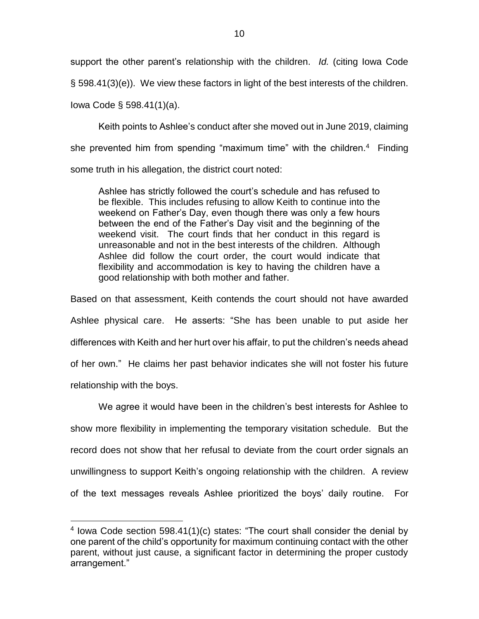support the other parent's relationship with the children. *Id.* (citing Iowa Code § 598.41(3)(e)). We view these factors in light of the best interests of the children.

Iowa Code § 598.41(1)(a).

 $\overline{a}$ 

Keith points to Ashlee's conduct after she moved out in June 2019, claiming she prevented him from spending "maximum time" with the children.<sup>4</sup> Finding some truth in his allegation, the district court noted:

Ashlee has strictly followed the court's schedule and has refused to be flexible. This includes refusing to allow Keith to continue into the weekend on Father's Day, even though there was only a few hours between the end of the Father's Day visit and the beginning of the weekend visit. The court finds that her conduct in this regard is unreasonable and not in the best interests of the children. Although Ashlee did follow the court order, the court would indicate that flexibility and accommodation is key to having the children have a good relationship with both mother and father.

Based on that assessment, Keith contends the court should not have awarded Ashlee physical care. He asserts: "She has been unable to put aside her differences with Keith and her hurt over his affair, to put the children's needs ahead of her own." He claims her past behavior indicates she will not foster his future relationship with the boys.

We agree it would have been in the children's best interests for Ashlee to show more flexibility in implementing the temporary visitation schedule. But the record does not show that her refusal to deviate from the court order signals an unwillingness to support Keith's ongoing relationship with the children. A review of the text messages reveals Ashlee prioritized the boys' daily routine. For

 $4$  lowa Code section 598.41(1)(c) states: "The court shall consider the denial by one parent of the child's opportunity for maximum continuing contact with the other parent, without just cause, a significant factor in determining the proper custody arrangement."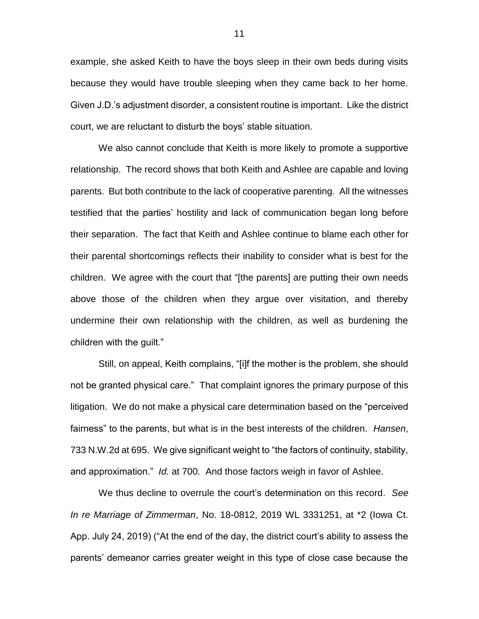example, she asked Keith to have the boys sleep in their own beds during visits because they would have trouble sleeping when they came back to her home. Given J.D.'s adjustment disorder, a consistent routine is important. Like the district court, we are reluctant to disturb the boys' stable situation.

We also cannot conclude that Keith is more likely to promote a supportive relationship. The record shows that both Keith and Ashlee are capable and loving parents. But both contribute to the lack of cooperative parenting. All the witnesses testified that the parties' hostility and lack of communication began long before their separation. The fact that Keith and Ashlee continue to blame each other for their parental shortcomings reflects their inability to consider what is best for the children. We agree with the court that "[the parents] are putting their own needs above those of the children when they argue over visitation, and thereby undermine their own relationship with the children, as well as burdening the children with the guilt."

Still, on appeal, Keith complains, "[i]f the mother is the problem, she should not be granted physical care." That complaint ignores the primary purpose of this litigation. We do not make a physical care determination based on the "perceived fairness" to the parents, but what is in the best interests of the children. *Hansen*, 733 N.W.2d at 695. We give significant weight to "the factors of continuity, stability, and approximation." *Id.* at 700. And those factors weigh in favor of Ashlee.

We thus decline to overrule the court's determination on this record. *See In re Marriage of Zimmerman*, No. 18-0812, 2019 WL 3331251, at \*2 (Iowa Ct. App. July 24, 2019) ("At the end of the day, the district court's ability to assess the parents' demeanor carries greater weight in this type of close case because the